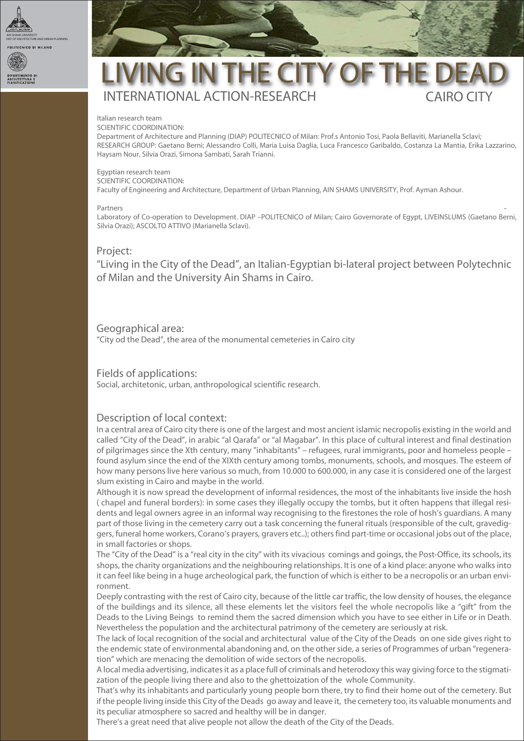

# LIVING IN THE CITY OF THE CAIRO CITY INTERNATIONAL ACTION-RESEARCH

#### **Italian research team**

SCIENTIFIC COORDINATION: Department of Architecture and Planning (DIAP) POLITECNICO of Milan: Prof.s Antonio Tosi, Paola Bellaviti, Marianella Sclavi; RESEARCH GROUP: Gaetano Berni; Alessandro Colli, Maria Luisa Daglia, Luca Francesco Garibaldo, Costanza La Mantia, Erika Lazzarino, Haysam Nour, Silvia Orazi, Simona Sambati, Sarah Trianni.

#### **Egyptian research team**

SCIENTIFIC COORDINATION: Faculty of Engineering and Architecture, Department of Urban Planning, AIN SHAMS UNIVERSITY, Prof. Ayman Ashour.

#### Partners

*-* Laboratory of Co-operation to Development. DIAP –POLITECNICO of Milan; Cairo Governorate of Egypt, LIVEINSLUMS (Gaetano Berni, Silvia Orazi); ASCOLTO ATTIVO (Marianella Sclavi).

### **Project:**

"Living in the City of the Dead", an Italian-Egyptian bi-lateral project between Polytechnic of Milan and the University Ain Shams in Cairo.

# **Geographical area:**

"City od the Dead", the area of the monumental cemeteries in Cairo city

### **Fields of applications:**

Social, architetonic, urban, anthropological scientific research.

# **Description of local context:**

In a central area of Cairo city there is one of the largest and most ancient islamic necropolis existing in the world and called "City of the Dead", in arabic "al Qarafa" or "al Magabar". In this place of cultural interest and final destination of pilgrimages since the Xth century, many "inhabitants" – refugees, rural immigrants, poor and homeless people – found asylum since the end of the XIXth century among tombs, monuments, schools, and mosques. The esteem of how many persons live here various so much, from 10.000 to 600.000, in any case it is considered one of the largest slum existing in Cairo and maybe in the world.

Although it is now spread the development of informal residences, the most of the inhabitants live inside the hosh ( chapel and funeral borders): in some cases they illegally occupy the tombs, but it often happens that illegal residents and legal owners agree in an informal way recognising to the firestones the role of hosh's guardians. A many part of those living in the cemetery carry out a task concerning the funeral rituals (responsible of the cult, gravediggers, funeral home workers, Corano's prayers, gravers etc..); others find part-time or occasional jobs out of the place, in small factories or shops.

The "City of the Dead" is a "real city in the city" with its vivacious comings and goings, the Post-Office, its schools, its shops, the charity organizations and the neighbouring relationships. It is one of a kind place: anyone who walks into it can feel like being in a huge archeological park, the function of which is either to be a necropolis or an urban environment.

Deeply contrasting with the rest of Cairo city, because of the little car traffic, the low density of houses, the elegance of the buildings and its silence, all these elements let the visitors feel the whole necropolis like a "gift" from the Deads to the Living Beings to remind them the sacred dimension which you have to see either in Life or in Death. Nevertheless the population and the architectural patrimony of the cemetery are seriously at risk.

The lack of local recognition of the social and architectural value of the City of the Deads on one side gives right to the endemic state of environmental abandoning and, on the other side, a series of Programmes of urban "regeneration" which are menacing the demolition of wide sectors of the necropolis.

A local media advertising, indicates it as a place full of criminals and heterodoxy this way giving force to the stigmatization of the people living there and also to the ghettoization of the whole Community.

That's why its inhabitants and particularly young people born there, try to find their home out of the cemetery. But if the people living inside this City of the Deads go away and leave it, the cemetery too, its valuable monuments and its peculiar atmosphere so sacred and healthy will be in danger.

There's a great need that alive people not allow the death of the City of the Deads.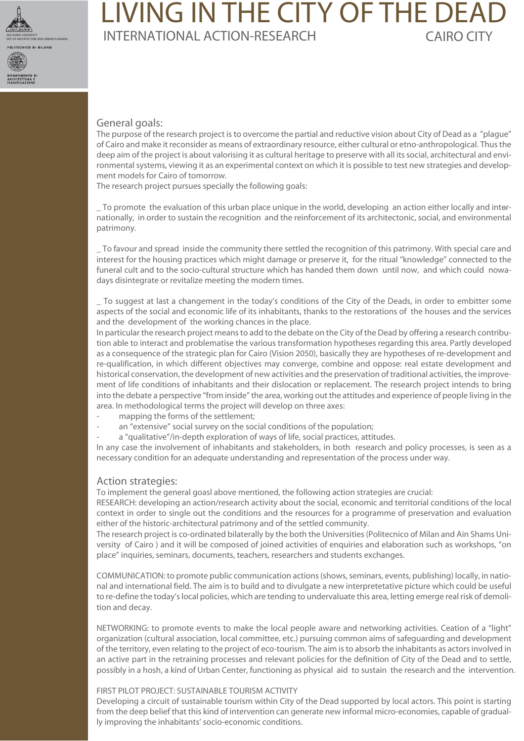

DIPA RTIMEN TO

# LIVING IN THE CITY OF THE DEAI CAIRO CITY **INTERNATIONAL ACTION-RESEARCH**

# **General goals:**

The purpose of the research project is to overcome the partial and reductive vision about City of Dead as a "plague" of Cairo and make it reconsider as means of extraordinary resource, either cultural or etno-anthropological. Thus the deep aim of the project is about valorising it as cultural heritage to preserve with all its social, architectural and environmental systems, viewing it as an experimental context on which it is possible to test new strategies and development models for Cairo of tomorrow.

The research project pursues specially the following goals:

*-* \_ To promote the evaluation of this urban place unique in the world, developing an action either locally and internationally, in order to sustain the recognition and the reinforcement of its architectonic, social, and environmental patrimony.

\_ To favour and spread inside the community there settled the recognition of this patrimony. With special care and interest for the housing practices which might damage or preserve it, for the ritual "knowledge" connected to the funeral cult and to the socio-cultural structure which has handed them down until now, and which could nowadays disintegrate or revitalize meeting the modern times.

\_ To suggest at last a changement in the today's conditions of the City of the Deads, in order to embitter some aspects of the social and economic life of its inhabitants, thanks to the restorations of the houses and the services and the development of the working chances in the place.

In particular the research project means to add to the debate on the City of the Dead by offering a research contribution able to interact and problematise the various transformation hypotheses regarding this area. Partly developed as a consequence of the strategic plan for Cairo (Vision 2050), basically they are hypotheses of re-development and re-qualification, in which different objectives may converge, combine and oppose: real estate development and historical conservation, the development of new activities and the preservation of traditional activities, the improvement of life conditions of inhabitants and their dislocation or replacement. The research project intends to bring into the debate a perspective "from inside" the area, working out the attitudes and experience of people living in the area. In methodological terms the project will develop on three axes:

- mapping the forms of the settlement;
- an "extensive" social survey on the social conditions of the population;
- a "qualitative"/in-depth exploration of ways of life, social practices, attitudes.

In any case the involvement of inhabitants and stakeholders, in both research and policy processes, is seen as a necessary condition for an adequate understanding and representation of the process under way.

# **Action strategies:**

To implement the general goasl above mentioned, the following action strategies are crucial:

RESEARCH: developing an action/research activity about the social, economic and territorial conditions of the local context in order to single out the conditions and the resources for a programme of preservation and evaluation either of the historic-architectural patrimony and of the settled community.

The research project is co-ordinated bilaterally by the both the Universities (Politecnico of Milan and Ain Shams University of Cairo ) and it will be composed of joined activities of enquiries and elaboration such as workshops, "on place" inquiries, seminars, documents, teachers, researchers and students exchanges.

COMMUNICATION: to promote public communication actions (shows, seminars, events, publishing) locally, in national and international field. The aim is to build and to divulgate a new interpretetative picture which could be useful to re-define the today's local policies, which are tending to undervaluate this area, letting emerge real risk of demolition and decay.

NETWORKING: to promote events to make the local people aware and networking activities. Ceation of a "light" organization (cultural association, local committee, etc.) pursuing common aims of safeguarding and development of the territory, even relating to the project of eco-tourism. The aim is to absorb the inhabitants as actors involved in an active part in the retraining processes and relevant policies for the definition of City of the Dead and to settle, possibly in a hosh, a kind of Urban Center, functioning as physical aid to sustain the research and the intervention.

### FIRST PILOT PROJECT: SUSTAINABLE TOURISM ACTIVITY

Developing a circuit of sustainable tourism within City of the Dead supported by local actors. This point is starting from the deep belief that this kind of intervention can generate new informal micro-economies, capable of gradually improving the inhabitants' socio-economic conditions.